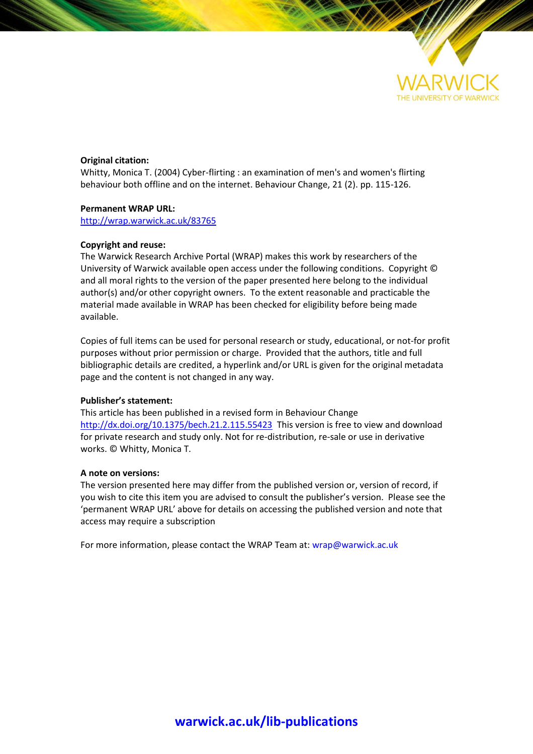

### **Original citation:**

Whitty, Monica T. (2004) Cyber-flirting : an examination of men's and women's flirting behaviour both offline and on the internet. Behaviour Change, 21 (2). pp. 115-126.

#### **Permanent WRAP URL:**

<http://wrap.warwick.ac.uk/83765>

#### **Copyright and reuse:**

The Warwick Research Archive Portal (WRAP) makes this work by researchers of the University of Warwick available open access under the following conditions. Copyright © and all moral rights to the version of the paper presented here belong to the individual author(s) and/or other copyright owners. To the extent reasonable and practicable the material made available in WRAP has been checked for eligibility before being made available.

Copies of full items can be used for personal research or study, educational, or not-for profit purposes without prior permission or charge. Provided that the authors, title and full bibliographic details are credited, a hyperlink and/or URL is given for the original metadata page and the content is not changed in any way.

#### **Publisher's statement:**

This article has been published in a revised form in Behaviour Change <http://dx.doi.org/10.1375/bech.21.2.115.55423> This version is free to view and download for private research and study only. Not for re-distribution, re-sale or use in derivative works. © Whitty, Monica T.

#### **A note on versions:**

The version presented here may differ from the published version or, version of record, if you wish to cite this item you are advised to consult the publisher's version. Please see the 'permanent WRAP URL' above for details on accessing the published version and note that access may require a subscription

For more information, please contact the WRAP Team at[: wrap@warwick.ac.uk](mailto:wrap@warwick.ac.uk)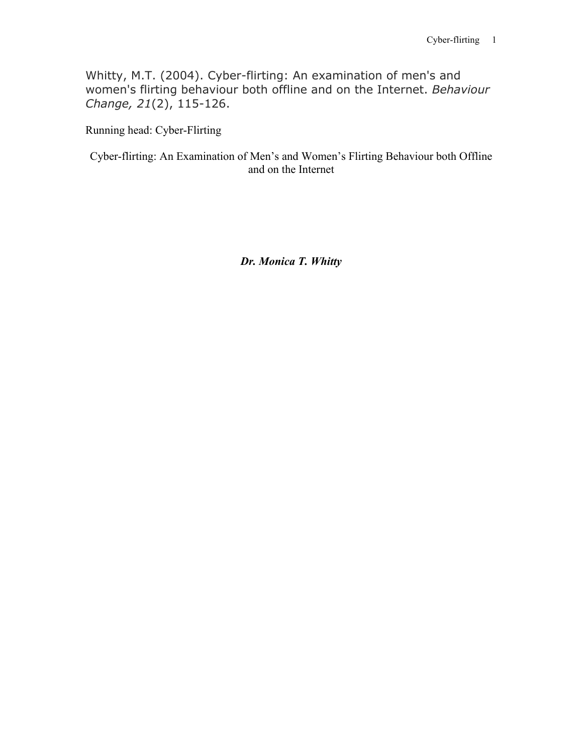Whitty, M.T. (2004). Cyber-flirting: An examination of men's and women's flirting behaviour both offline and on the Internet. *Behaviour Change, 21*(2), 115-126.

Running head: Cyber-Flirting

Cyber-flirting: An Examination of Men's and Women's Flirting Behaviour both Offline and on the Internet

*Dr. Monica T. Whitty*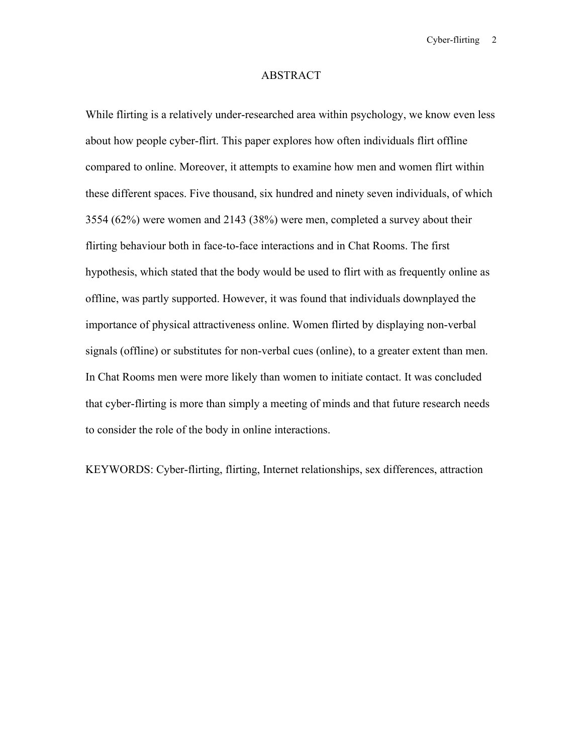### ABSTRACT

While flirting is a relatively under-researched area within psychology, we know even less about how people cyber-flirt. This paper explores how often individuals flirt offline compared to online. Moreover, it attempts to examine how men and women flirt within these different spaces. Five thousand, six hundred and ninety seven individuals, of which 3554 (62%) were women and 2143 (38%) were men, completed a survey about their flirting behaviour both in face-to-face interactions and in Chat Rooms. The first hypothesis, which stated that the body would be used to flirt with as frequently online as offline, was partly supported. However, it was found that individuals downplayed the importance of physical attractiveness online. Women flirted by displaying non-verbal signals (offline) or substitutes for non-verbal cues (online), to a greater extent than men. In Chat Rooms men were more likely than women to initiate contact. It was concluded that cyber-flirting is more than simply a meeting of minds and that future research needs to consider the role of the body in online interactions.

KEYWORDS: Cyber-flirting, flirting, Internet relationships, sex differences, attraction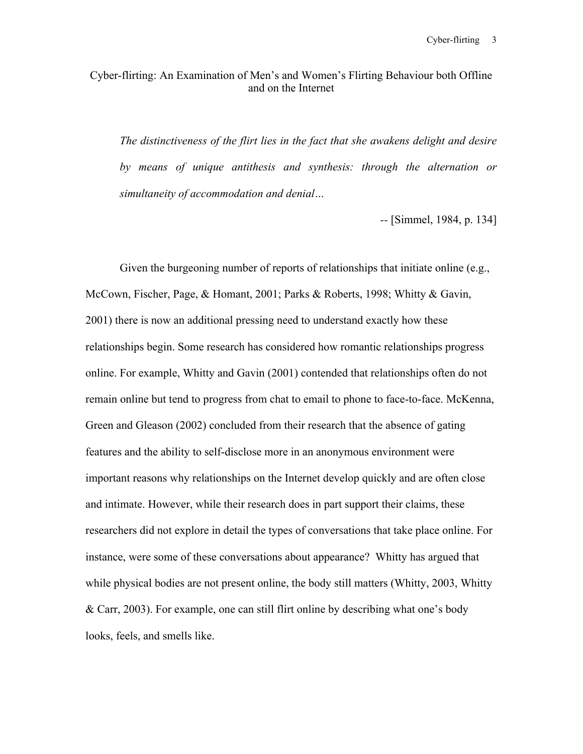# Cyber-flirting: An Examination of Men's and Women's Flirting Behaviour both Offline and on the Internet

*The distinctiveness of the flirt lies in the fact that she awakens delight and desire by means of unique antithesis and synthesis: through the alternation or simultaneity of accommodation and denial…*

*--* [Simmel, 1984, p. 134]

Given the burgeoning number of reports of relationships that initiate online (e.g., McCown, Fischer, Page, & Homant, 2001; Parks & Roberts, 1998; Whitty & Gavin, 2001) there is now an additional pressing need to understand exactly how these relationships begin. Some research has considered how romantic relationships progress online. For example, Whitty and Gavin (2001) contended that relationships often do not remain online but tend to progress from chat to email to phone to face-to-face. McKenna, Green and Gleason (2002) concluded from their research that the absence of gating features and the ability to self-disclose more in an anonymous environment were important reasons why relationships on the Internet develop quickly and are often close and intimate. However, while their research does in part support their claims, these researchers did not explore in detail the types of conversations that take place online. For instance, were some of these conversations about appearance? Whitty has argued that while physical bodies are not present online, the body still matters (Whitty, 2003, Whitty & Carr, 2003). For example, one can still flirt online by describing what one's body looks, feels, and smells like.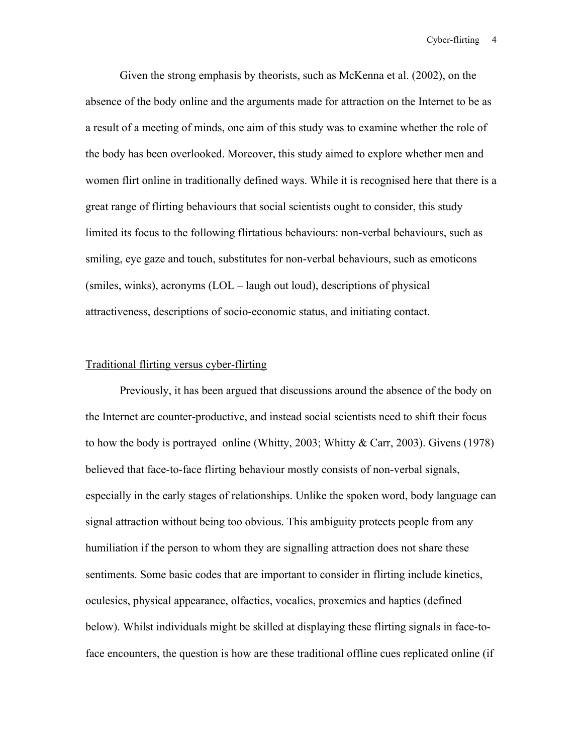Given the strong emphasis by theorists, such as McKenna et al. (2002), on the absence of the body online and the arguments made for attraction on the Internet to be as a result of a meeting of minds, one aim of this study was to examine whether the role of the body has been overlooked. Moreover, this study aimed to explore whether men and women flirt online in traditionally defined ways. While it is recognised here that there is a great range of flirting behaviours that social scientists ought to consider, this study limited its focus to the following flirtatious behaviours: non-verbal behaviours, such as smiling, eye gaze and touch, substitutes for non-verbal behaviours, such as emoticons (smiles, winks), acronyms (LOL – laugh out loud), descriptions of physical attractiveness, descriptions of socio-economic status, and initiating contact.

## Traditional flirting versus cyber-flirting

Previously, it has been argued that discussions around the absence of the body on the Internet are counter-productive, and instead social scientists need to shift their focus to how the body is portrayed online (Whitty, 2003; Whitty  $\&$  Carr, 2003). Givens (1978) believed that face-to-face flirting behaviour mostly consists of non-verbal signals, especially in the early stages of relationships. Unlike the spoken word, body language can signal attraction without being too obvious. This ambiguity protects people from any humiliation if the person to whom they are signalling attraction does not share these sentiments. Some basic codes that are important to consider in flirting include kinetics, oculesics, physical appearance, olfactics, vocalics, proxemics and haptics (defined below). Whilst individuals might be skilled at displaying these flirting signals in face-toface encounters, the question is how are these traditional offline cues replicated online (if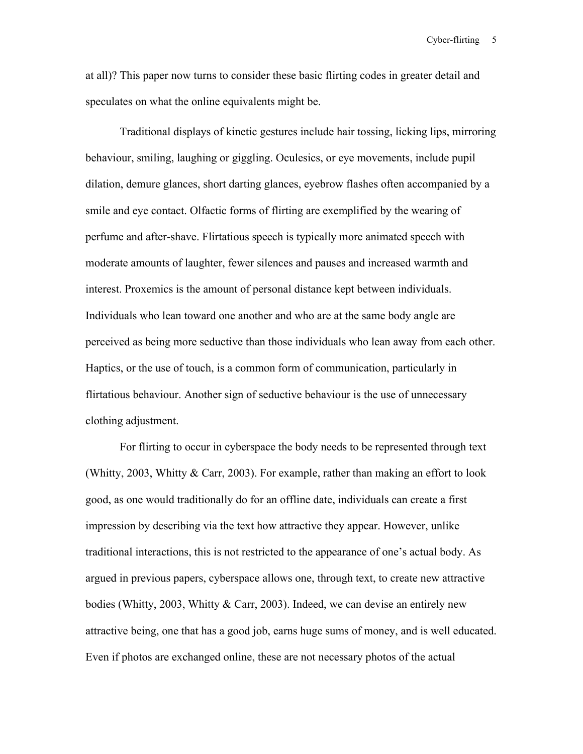at all)? This paper now turns to consider these basic flirting codes in greater detail and speculates on what the online equivalents might be.

Traditional displays of kinetic gestures include hair tossing, licking lips, mirroring behaviour, smiling, laughing or giggling. Oculesics, or eye movements, include pupil dilation, demure glances, short darting glances, eyebrow flashes often accompanied by a smile and eye contact. Olfactic forms of flirting are exemplified by the wearing of perfume and after-shave. Flirtatious speech is typically more animated speech with moderate amounts of laughter, fewer silences and pauses and increased warmth and interest. Proxemics is the amount of personal distance kept between individuals. Individuals who lean toward one another and who are at the same body angle are perceived as being more seductive than those individuals who lean away from each other. Haptics, or the use of touch, is a common form of communication, particularly in flirtatious behaviour. Another sign of seductive behaviour is the use of unnecessary clothing adjustment.

For flirting to occur in cyberspace the body needs to be represented through text (Whitty, 2003, Whitty & Carr, 2003). For example, rather than making an effort to look good, as one would traditionally do for an offline date, individuals can create a first impression by describing via the text how attractive they appear. However, unlike traditional interactions, this is not restricted to the appearance of one's actual body. As argued in previous papers, cyberspace allows one, through text, to create new attractive bodies (Whitty, 2003, Whitty & Carr, 2003). Indeed, we can devise an entirely new attractive being, one that has a good job, earns huge sums of money, and is well educated. Even if photos are exchanged online, these are not necessary photos of the actual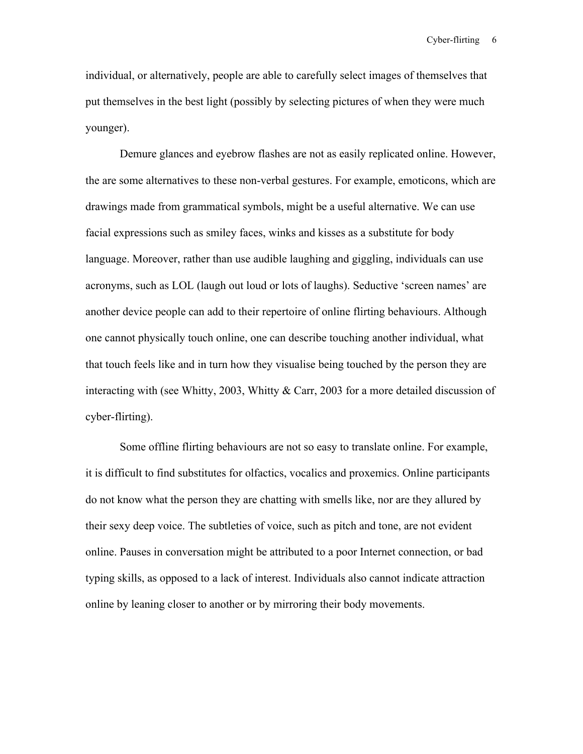individual, or alternatively, people are able to carefully select images of themselves that put themselves in the best light (possibly by selecting pictures of when they were much younger).

Demure glances and eyebrow flashes are not as easily replicated online. However, the are some alternatives to these non-verbal gestures. For example, emoticons, which are drawings made from grammatical symbols, might be a useful alternative. We can use facial expressions such as smiley faces, winks and kisses as a substitute for body language. Moreover, rather than use audible laughing and giggling, individuals can use acronyms, such as LOL (laugh out loud or lots of laughs). Seductive 'screen names' are another device people can add to their repertoire of online flirting behaviours. Although one cannot physically touch online, one can describe touching another individual, what that touch feels like and in turn how they visualise being touched by the person they are interacting with (see Whitty, 2003, Whitty & Carr, 2003 for a more detailed discussion of cyber-flirting).

Some offline flirting behaviours are not so easy to translate online. For example, it is difficult to find substitutes for olfactics, vocalics and proxemics. Online participants do not know what the person they are chatting with smells like, nor are they allured by their sexy deep voice. The subtleties of voice, such as pitch and tone, are not evident online. Pauses in conversation might be attributed to a poor Internet connection, or bad typing skills, as opposed to a lack of interest. Individuals also cannot indicate attraction online by leaning closer to another or by mirroring their body movements.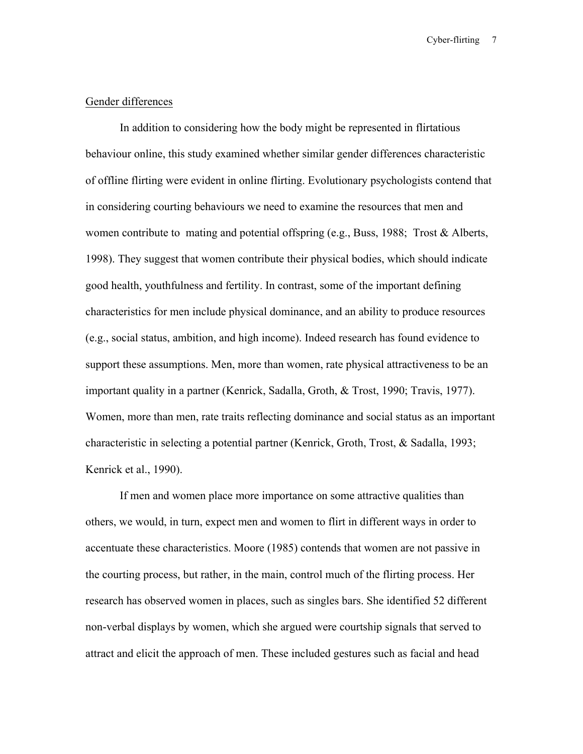## Gender differences

In addition to considering how the body might be represented in flirtatious behaviour online, this study examined whether similar gender differences characteristic of offline flirting were evident in online flirting. Evolutionary psychologists contend that in considering courting behaviours we need to examine the resources that men and women contribute to mating and potential offspring (e.g., Buss, 1988; Trost & Alberts, 1998). They suggest that women contribute their physical bodies, which should indicate good health, youthfulness and fertility. In contrast, some of the important defining characteristics for men include physical dominance, and an ability to produce resources (e.g., social status, ambition, and high income). Indeed research has found evidence to support these assumptions. Men, more than women, rate physical attractiveness to be an important quality in a partner (Kenrick, Sadalla, Groth, & Trost, 1990; Travis, 1977). Women, more than men, rate traits reflecting dominance and social status as an important characteristic in selecting a potential partner (Kenrick, Groth, Trost, & Sadalla, 1993; Kenrick et al., 1990).

If men and women place more importance on some attractive qualities than others, we would, in turn, expect men and women to flirt in different ways in order to accentuate these characteristics. Moore (1985) contends that women are not passive in the courting process, but rather, in the main, control much of the flirting process. Her research has observed women in places, such as singles bars. She identified 52 different non-verbal displays by women, which she argued were courtship signals that served to attract and elicit the approach of men. These included gestures such as facial and head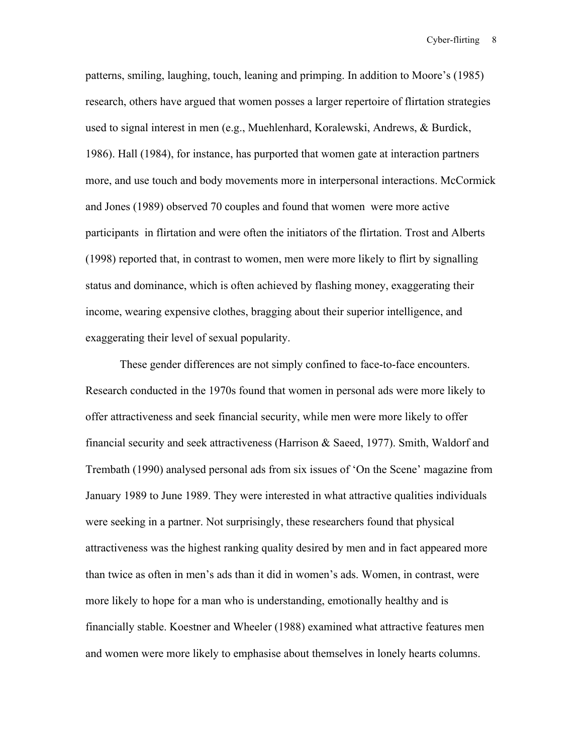patterns, smiling, laughing, touch, leaning and primping. In addition to Moore's (1985) research, others have argued that women posses a larger repertoire of flirtation strategies used to signal interest in men (e.g., Muehlenhard, Koralewski, Andrews, & Burdick, 1986). Hall (1984), for instance, has purported that women gate at interaction partners more, and use touch and body movements more in interpersonal interactions. McCormick and Jones (1989) observed 70 couples and found that women were more active participants in flirtation and were often the initiators of the flirtation. Trost and Alberts (1998) reported that, in contrast to women, men were more likely to flirt by signalling status and dominance, which is often achieved by flashing money, exaggerating their income, wearing expensive clothes, bragging about their superior intelligence, and exaggerating their level of sexual popularity.

These gender differences are not simply confined to face-to-face encounters. Research conducted in the 1970s found that women in personal ads were more likely to offer attractiveness and seek financial security, while men were more likely to offer financial security and seek attractiveness (Harrison & Saeed, 1977). Smith, Waldorf and Trembath (1990) analysed personal ads from six issues of 'On the Scene' magazine from January 1989 to June 1989. They were interested in what attractive qualities individuals were seeking in a partner. Not surprisingly, these researchers found that physical attractiveness was the highest ranking quality desired by men and in fact appeared more than twice as often in men's ads than it did in women's ads. Women, in contrast, were more likely to hope for a man who is understanding, emotionally healthy and is financially stable. Koestner and Wheeler (1988) examined what attractive features men and women were more likely to emphasise about themselves in lonely hearts columns.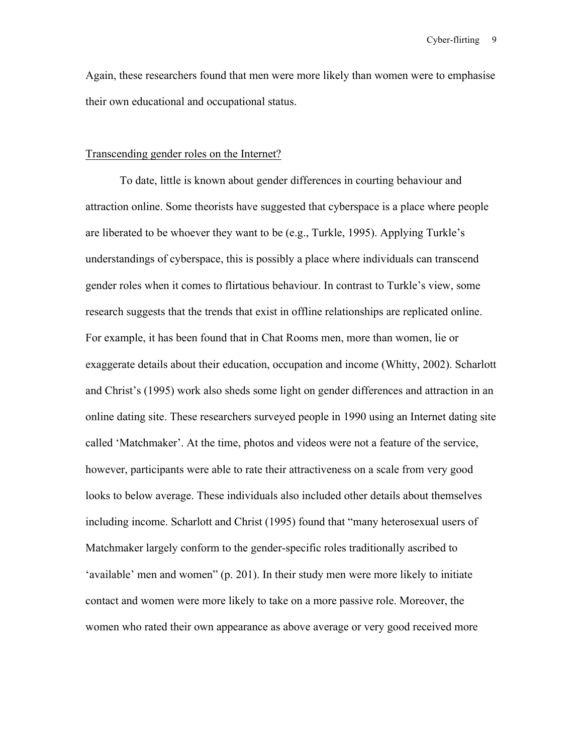Again, these researchers found that men were more likely than women were to emphasise their own educational and occupational status.

### Transcending gender roles on the Internet?

To date, little is known about gender differences in courting behaviour and attraction online. Some theorists have suggested that cyberspace is a place where people are liberated to be whoever they want to be (e.g., Turkle, 1995). Applying Turkle's understandings of cyberspace, this is possibly a place where individuals can transcend gender roles when it comes to flirtatious behaviour. In contrast to Turkle's view, some research suggests that the trends that exist in offline relationships are replicated online. For example, it has been found that in Chat Rooms men, more than women, lie or exaggerate details about their education, occupation and income (Whitty, 2002). Scharlott and Christ's (1995) work also sheds some light on gender differences and attraction in an online dating site. These researchers surveyed people in 1990 using an Internet dating site called 'Matchmaker'. At the time, photos and videos were not a feature of the service, however, participants were able to rate their attractiveness on a scale from very good looks to below average. These individuals also included other details about themselves including income. Scharlott and Christ (1995) found that "many heterosexual users of Matchmaker largely conform to the gender-specific roles traditionally ascribed to 'available' men and women" (p. 201). In their study men were more likely to initiate contact and women were more likely to take on a more passive role. Moreover, the women who rated their own appearance as above average or very good received more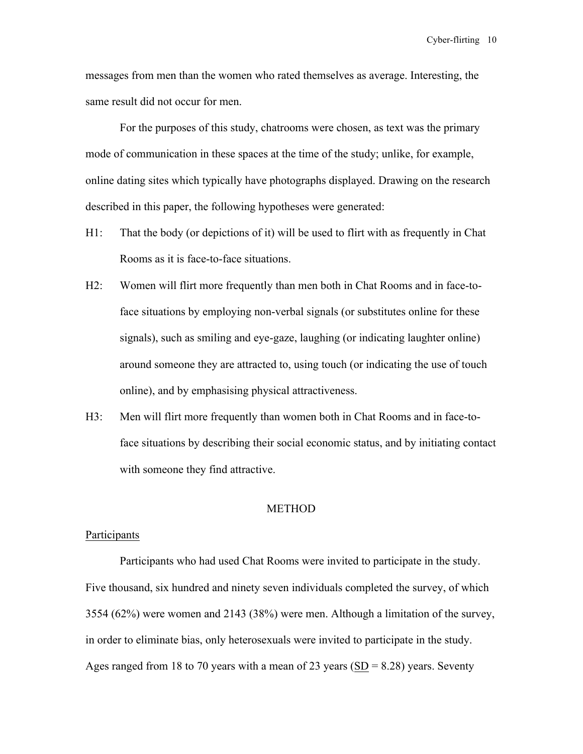messages from men than the women who rated themselves as average. Interesting, the same result did not occur for men.

For the purposes of this study, chatrooms were chosen, as text was the primary mode of communication in these spaces at the time of the study; unlike, for example, online dating sites which typically have photographs displayed. Drawing on the research described in this paper, the following hypotheses were generated:

- H1: That the body (or depictions of it) will be used to flirt with as frequently in Chat Rooms as it is face-to-face situations.
- H2: Women will flirt more frequently than men both in Chat Rooms and in face-toface situations by employing non-verbal signals (or substitutes online for these signals), such as smiling and eye-gaze, laughing (or indicating laughter online) around someone they are attracted to, using touch (or indicating the use of touch online), and by emphasising physical attractiveness.
- H3: Men will flirt more frequently than women both in Chat Rooms and in face-toface situations by describing their social economic status, and by initiating contact with someone they find attractive.

## METHOD

## **Participants**

Participants who had used Chat Rooms were invited to participate in the study. Five thousand, six hundred and ninety seven individuals completed the survey, of which 3554 (62%) were women and 2143 (38%) were men. Although a limitation of the survey, in order to eliminate bias, only heterosexuals were invited to participate in the study. Ages ranged from 18 to 70 years with a mean of 23 years (SD = 8.28) years. Seventy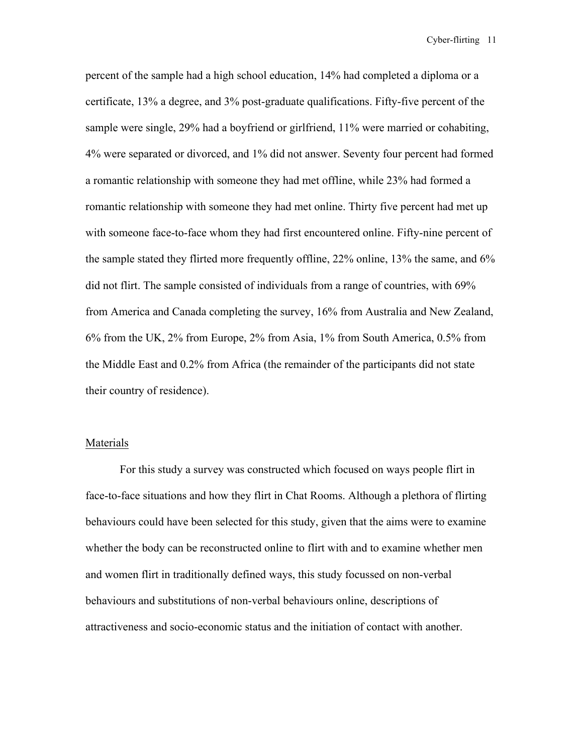percent of the sample had a high school education, 14% had completed a diploma or a certificate, 13% a degree, and 3% post-graduate qualifications. Fifty-five percent of the sample were single, 29% had a boyfriend or girlfriend, 11% were married or cohabiting, 4% were separated or divorced, and 1% did not answer. Seventy four percent had formed a romantic relationship with someone they had met offline, while 23% had formed a romantic relationship with someone they had met online. Thirty five percent had met up with someone face-to-face whom they had first encountered online. Fifty-nine percent of the sample stated they flirted more frequently offline, 22% online, 13% the same, and 6% did not flirt. The sample consisted of individuals from a range of countries, with 69% from America and Canada completing the survey, 16% from Australia and New Zealand, 6% from the UK, 2% from Europe, 2% from Asia, 1% from South America, 0.5% from the Middle East and 0.2% from Africa (the remainder of the participants did not state their country of residence).

### Materials

For this study a survey was constructed which focused on ways people flirt in face-to-face situations and how they flirt in Chat Rooms. Although a plethora of flirting behaviours could have been selected for this study, given that the aims were to examine whether the body can be reconstructed online to flirt with and to examine whether men and women flirt in traditionally defined ways, this study focussed on non-verbal behaviours and substitutions of non-verbal behaviours online, descriptions of attractiveness and socio-economic status and the initiation of contact with another.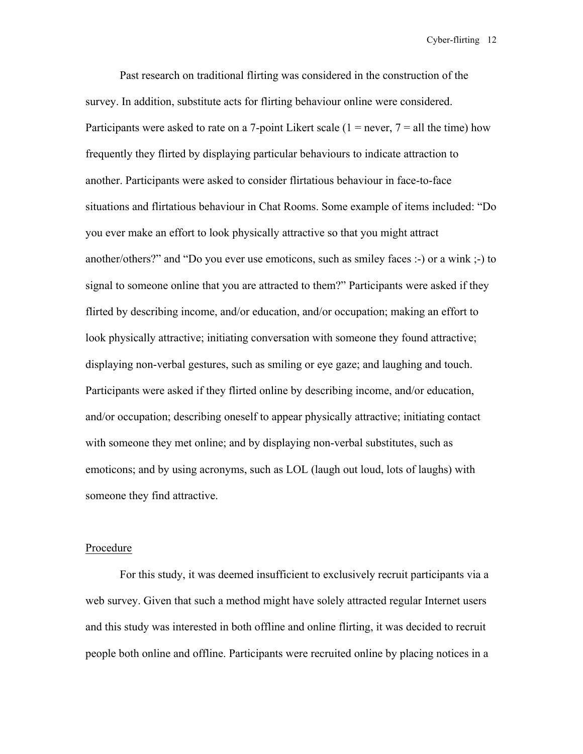Past research on traditional flirting was considered in the construction of the survey. In addition, substitute acts for flirting behaviour online were considered. Participants were asked to rate on a 7-point Likert scale ( $1 =$  never,  $7 =$  all the time) how frequently they flirted by displaying particular behaviours to indicate attraction to another. Participants were asked to consider flirtatious behaviour in face-to-face situations and flirtatious behaviour in Chat Rooms. Some example of items included: "Do you ever make an effort to look physically attractive so that you might attract another/others?" and "Do you ever use emoticons, such as smiley faces :-) or a wink ;-) to signal to someone online that you are attracted to them?" Participants were asked if they flirted by describing income, and/or education, and/or occupation; making an effort to look physically attractive; initiating conversation with someone they found attractive; displaying non-verbal gestures, such as smiling or eye gaze; and laughing and touch. Participants were asked if they flirted online by describing income, and/or education, and/or occupation; describing oneself to appear physically attractive; initiating contact with someone they met online; and by displaying non-verbal substitutes, such as emoticons; and by using acronyms, such as LOL (laugh out loud, lots of laughs) with someone they find attractive.

#### Procedure

For this study, it was deemed insufficient to exclusively recruit participants via a web survey. Given that such a method might have solely attracted regular Internet users and this study was interested in both offline and online flirting, it was decided to recruit people both online and offline. Participants were recruited online by placing notices in a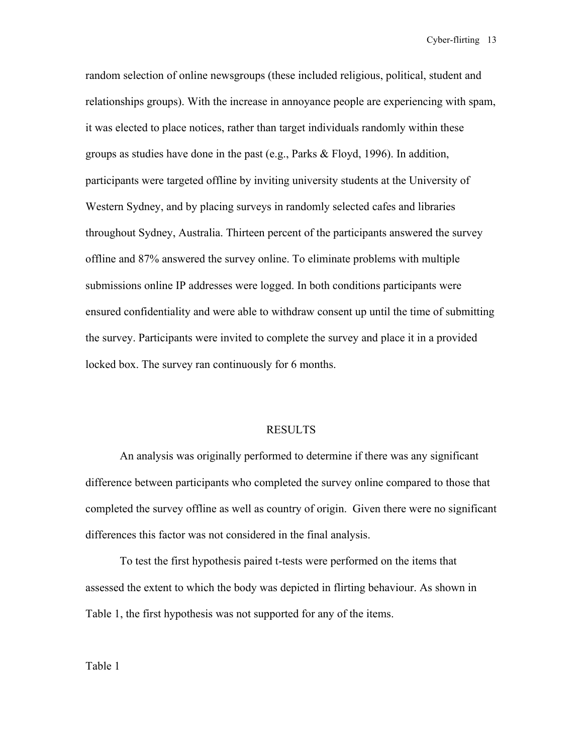random selection of online newsgroups (these included religious, political, student and relationships groups). With the increase in annoyance people are experiencing with spam, it was elected to place notices, rather than target individuals randomly within these groups as studies have done in the past (e.g., Parks  $\&$  Floyd, 1996). In addition, participants were targeted offline by inviting university students at the University of Western Sydney, and by placing surveys in randomly selected cafes and libraries throughout Sydney, Australia. Thirteen percent of the participants answered the survey offline and 87% answered the survey online. To eliminate problems with multiple submissions online IP addresses were logged. In both conditions participants were ensured confidentiality and were able to withdraw consent up until the time of submitting the survey. Participants were invited to complete the survey and place it in a provided locked box. The survey ran continuously for 6 months.

### RESULTS

An analysis was originally performed to determine if there was any significant difference between participants who completed the survey online compared to those that completed the survey offline as well as country of origin. Given there were no significant differences this factor was not considered in the final analysis.

To test the first hypothesis paired t-tests were performed on the items that assessed the extent to which the body was depicted in flirting behaviour. As shown in Table 1, the first hypothesis was not supported for any of the items.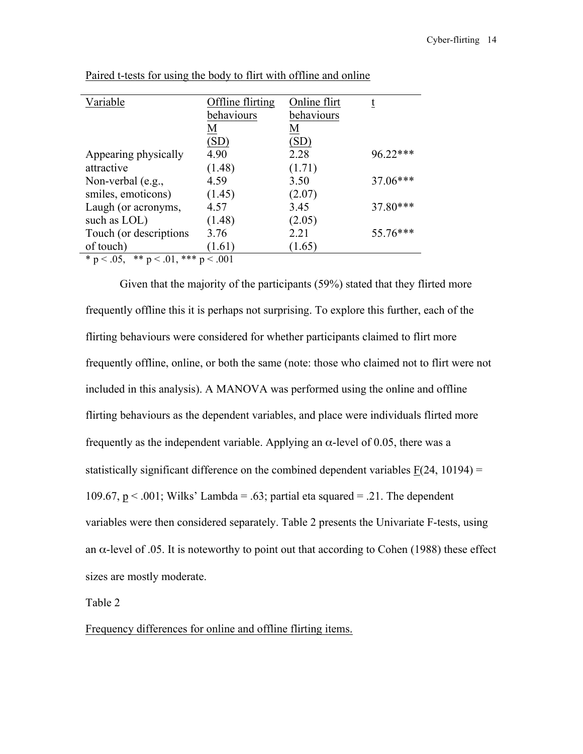| Variable                                          | Offline flirting | Online flirt | t          |  |  |
|---------------------------------------------------|------------------|--------------|------------|--|--|
|                                                   | behaviours       | behaviours   |            |  |  |
|                                                   | M                | M            |            |  |  |
|                                                   | (SD)             | (SD)         |            |  |  |
| Appearing physically                              | 4.90             | 2.28         | $96.22***$ |  |  |
| attractive                                        | (1.48)           | (1.71)       |            |  |  |
| Non-verbal $(e.g.,$                               | 4.59             | 3.50         | 37.06***   |  |  |
| smiles, emoticons)                                | (1.45)           | (2.07)       |            |  |  |
| Laugh (or acronyms,                               | 4.57             | 3.45         | $37.80***$ |  |  |
| such as LOL)                                      | (1.48)           | (2.05)       |            |  |  |
| Touch (or descriptions                            | 3.76             | 2.21         | 55.76***   |  |  |
| of touch)                                         | (1.61)           | (1.65)       |            |  |  |
| ** $p < .01$ ,<br>*** $p < .001$<br>* $p < .05$ , |                  |              |            |  |  |

Paired t-tests for using the body to flirt with offline and online

Given that the majority of the participants (59%) stated that they flirted more frequently offline this it is perhaps not surprising. To explore this further, each of the flirting behaviours were considered for whether participants claimed to flirt more frequently offline, online, or both the same (note: those who claimed not to flirt were not included in this analysis). A MANOVA was performed using the online and offline flirting behaviours as the dependent variables, and place were individuals flirted more frequently as the independent variable. Applying an  $\alpha$ -level of 0.05, there was a statistically significant difference on the combined dependent variables  $F(24, 10194) =$ 109.67,  $p < .001$ ; Wilks' Lambda = .63; partial eta squared = .21. The dependent variables were then considered separately. Table 2 presents the Univariate F-tests, using an  $\alpha$ -level of .05. It is noteworthy to point out that according to Cohen (1988) these effect sizes are mostly moderate.

Table 2

Frequency differences for online and offline flirting items.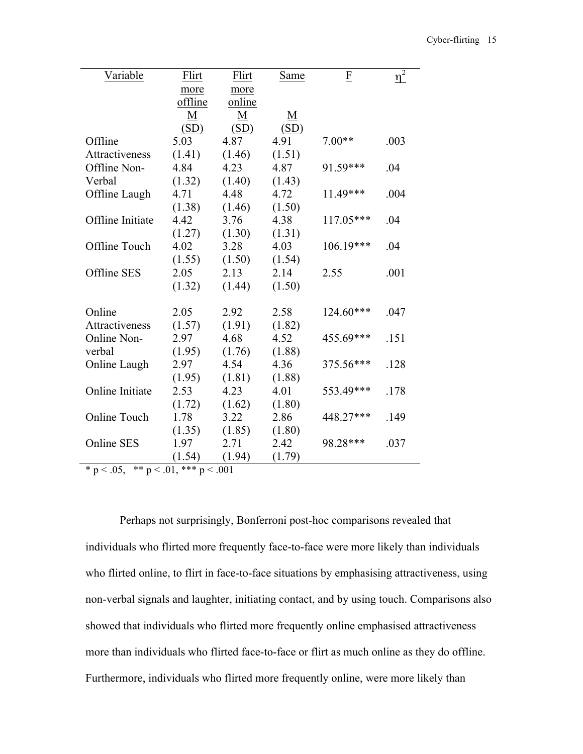| Variable            | Flirt   | Flirt  | Same            | F           | $\eta^2$ |
|---------------------|---------|--------|-----------------|-------------|----------|
|                     | more    | more   |                 |             |          |
|                     | offline | online |                 |             |          |
|                     | M       | M      | $\underline{M}$ |             |          |
|                     | (SD)    | (SD)   | (SD)            |             |          |
| Offline             | 5.03    | 4.87   | 4.91            | $7.00**$    | .003     |
| Attractiveness      | (1.41)  | (1.46) | (1.51)          |             |          |
| Offline Non-        | 4.84    | 4.23   | 4.87            | 91.59***    | .04      |
| Verbal              | (1.32)  | (1.40) | (1.43)          |             |          |
| Offline Laugh       | 4.71    | 4.48   | 4.72            | 11.49***    | .004     |
|                     | (1.38)  | (1.46) | (1.50)          |             |          |
| Offline Initiate    | 4.42    | 3.76   | 4.38            | 117.05***   | .04      |
|                     | (1.27)  | (1.30) | (1.31)          |             |          |
| Offline Touch       | 4.02    | 3.28   | 4.03            | $106.19***$ | .04      |
|                     | (1.55)  | (1.50) | (1.54)          |             |          |
| Offline SES         | 2.05    | 2.13   | 2.14            | 2.55        | .001     |
|                     | (1.32)  | (1.44) | (1.50)          |             |          |
|                     |         |        |                 |             |          |
| Online              | 2.05    | 2.92   | 2.58            | 124.60***   | .047     |
| Attractiveness      | (1.57)  | (1.91) | (1.82)          |             |          |
| Online Non-         | 2.97    | 4.68   | 4.52            | 455.69***   | .151     |
| verbal              | (1.95)  | (1.76) | (1.88)          |             |          |
| Online Laugh        | 2.97    | 4.54   | 4.36            | 375.56***   | .128     |
|                     | (1.95)  | (1.81) | (1.88)          |             |          |
| Online Initiate     | 2.53    | 4.23   | 4.01            | 553.49***   | .178     |
|                     | (1.72)  | (1.62) | (1.80)          |             |          |
| <b>Online Touch</b> | 1.78    | 3.22   | 2.86            | 448.27***   | .149     |
|                     | (1.35)  | (1.85) | (1.80)          |             |          |
| <b>Online SES</b>   | 1.97    | 2.71   | 2.42            | 98.28***    | .037     |
|                     | (1.54)  | (1.94) | (1.79)          |             |          |

 $* p < .05, ** p < .01, ** p < .001$ 

Perhaps not surprisingly, Bonferroni post-hoc comparisons revealed that individuals who flirted more frequently face-to-face were more likely than individuals who flirted online, to flirt in face-to-face situations by emphasising attractiveness, using non-verbal signals and laughter, initiating contact, and by using touch. Comparisons also showed that individuals who flirted more frequently online emphasised attractiveness more than individuals who flirted face-to-face or flirt as much online as they do offline. Furthermore, individuals who flirted more frequently online, were more likely than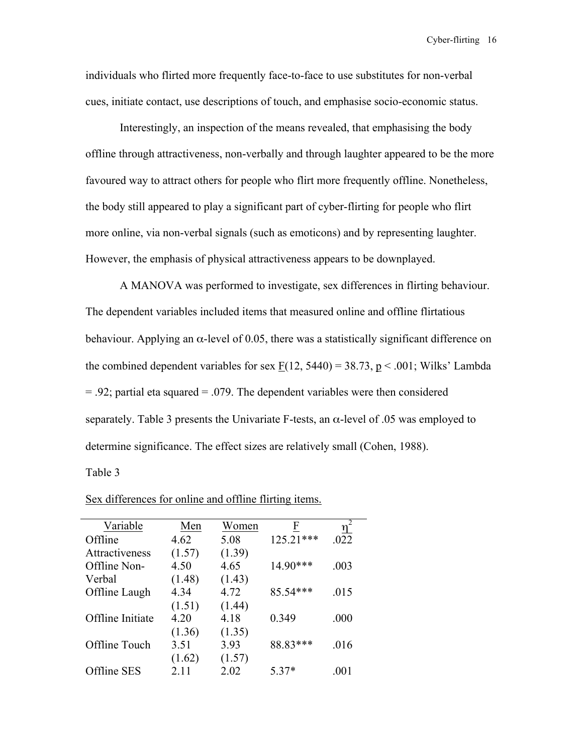individuals who flirted more frequently face-to-face to use substitutes for non-verbal cues, initiate contact, use descriptions of touch, and emphasise socio-economic status.

Interestingly, an inspection of the means revealed, that emphasising the body offline through attractiveness, non-verbally and through laughter appeared to be the more favoured way to attract others for people who flirt more frequently offline. Nonetheless, the body still appeared to play a significant part of cyber-flirting for people who flirt more online, via non-verbal signals (such as emoticons) and by representing laughter. However, the emphasis of physical attractiveness appears to be downplayed.

A MANOVA was performed to investigate, sex differences in flirting behaviour. The dependent variables included items that measured online and offline flirtatious behaviour. Applying an  $\alpha$ -level of 0.05, there was a statistically significant difference on the combined dependent variables for sex  $F(12, 5440) = 38.73$ , p < .001; Wilks' Lambda  $= .92$ ; partial eta squared  $= .079$ . The dependent variables were then considered separately. Table 3 presents the Univariate F-tests, an  $\alpha$ -level of .05 was employed to determine significance. The effect sizes are relatively small (Cohen, 1988).

Table 3

| Variable         | Men    | Women  | F         | $\eta^2$ |
|------------------|--------|--------|-----------|----------|
| Offline          | 4.62   | 5.08   | 125.21*** | .022     |
| Attractiveness   | (1.57) | (1.39) |           |          |
| Offline Non-     | 4.50   | 4.65   | 14.90***  | .003     |
| Verbal           | (1.48) | (1.43) |           |          |
| Offline Laugh    | 4.34   | 4.72   | 85.54***  | .015     |
|                  | (1.51) | (1.44) |           |          |
| Offline Initiate | 4.20   | 4.18   | 0.349     | .000     |
|                  | (1.36) | (1.35) |           |          |
| Offline Touch    | 3.51   | 3.93   | 88.83***  | .016     |
|                  | (1.62) | (1.57) |           |          |
| Offline SES      | 2.11   | 2.02   | 5 37*     | .001     |

Sex differences for online and offline flirting items.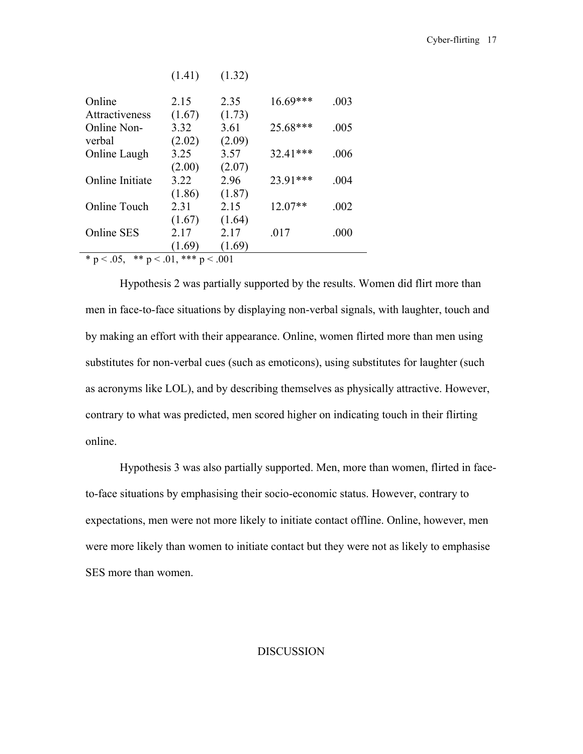|                                                   | (1.41) | (1.32) |            |      |
|---------------------------------------------------|--------|--------|------------|------|
| Online                                            | 2.15   | 2.35   | $16.69***$ | .003 |
| Attractiveness                                    | (1.67) | (1.73) |            |      |
| Online Non-                                       | 3.32   | 3.61   | $25.68***$ | .005 |
| verbal                                            | (2.02) | (2.09) |            |      |
| Online Laugh                                      | 3.25   | 3.57   | 32.41***   | .006 |
|                                                   | (2.00) | (2.07) |            |      |
| Online Initiate                                   | 3.22   | 2.96   | 23.91***   | .004 |
|                                                   | (1.86) | (1.87) |            |      |
| Online Touch                                      | 2.31   | 2.15   | $12.07**$  | .002 |
|                                                   | (1.67) | (1.64) |            |      |
| <b>Online SES</b>                                 | 2.17   | 2.17   | .017       | .000 |
|                                                   | (1.69) | (1.69) |            |      |
| *** $p < .001$<br>* $p < .05$ ,<br>** $p < .01$ , |        |        |            |      |

Hypothesis 2 was partially supported by the results. Women did flirt more than men in face-to-face situations by displaying non-verbal signals, with laughter, touch and by making an effort with their appearance. Online, women flirted more than men using substitutes for non-verbal cues (such as emoticons), using substitutes for laughter (such as acronyms like LOL), and by describing themselves as physically attractive. However, contrary to what was predicted, men scored higher on indicating touch in their flirting online.

Hypothesis 3 was also partially supported. Men, more than women, flirted in faceto-face situations by emphasising their socio-economic status. However, contrary to expectations, men were not more likely to initiate contact offline. Online, however, men were more likely than women to initiate contact but they were not as likely to emphasise SES more than women.

## DISCUSSION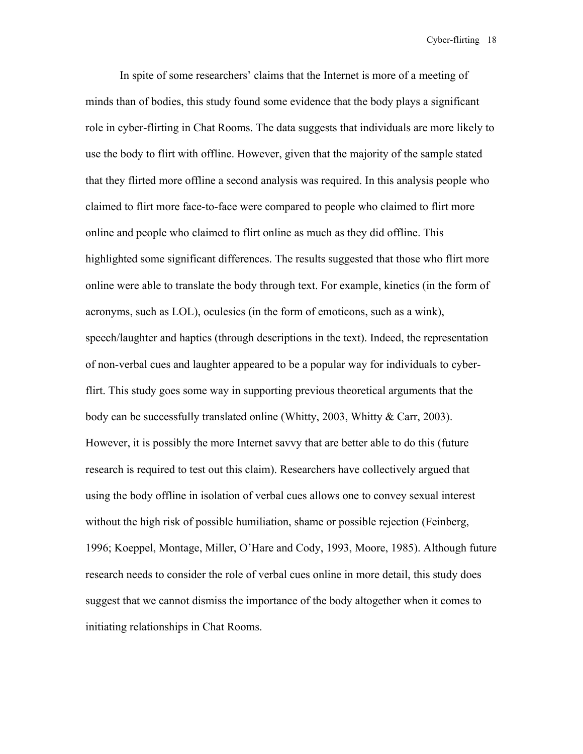In spite of some researchers' claims that the Internet is more of a meeting of minds than of bodies, this study found some evidence that the body plays a significant role in cyber-flirting in Chat Rooms. The data suggests that individuals are more likely to use the body to flirt with offline. However, given that the majority of the sample stated that they flirted more offline a second analysis was required. In this analysis people who claimed to flirt more face-to-face were compared to people who claimed to flirt more online and people who claimed to flirt online as much as they did offline. This highlighted some significant differences. The results suggested that those who flirt more online were able to translate the body through text. For example, kinetics (in the form of acronyms, such as LOL), oculesics (in the form of emoticons, such as a wink), speech/laughter and haptics (through descriptions in the text). Indeed, the representation of non-verbal cues and laughter appeared to be a popular way for individuals to cyberflirt. This study goes some way in supporting previous theoretical arguments that the body can be successfully translated online (Whitty, 2003, Whitty & Carr, 2003). However, it is possibly the more Internet savvy that are better able to do this (future research is required to test out this claim). Researchers have collectively argued that using the body offline in isolation of verbal cues allows one to convey sexual interest without the high risk of possible humiliation, shame or possible rejection (Feinberg, 1996; Koeppel, Montage, Miller, O'Hare and Cody, 1993, Moore, 1985). Although future research needs to consider the role of verbal cues online in more detail, this study does suggest that we cannot dismiss the importance of the body altogether when it comes to initiating relationships in Chat Rooms.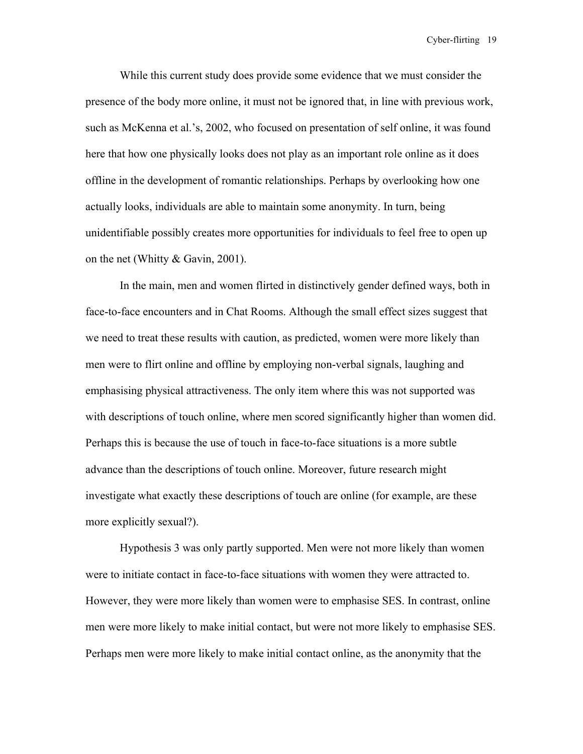While this current study does provide some evidence that we must consider the presence of the body more online, it must not be ignored that, in line with previous work, such as McKenna et al.'s, 2002, who focused on presentation of self online, it was found here that how one physically looks does not play as an important role online as it does offline in the development of romantic relationships. Perhaps by overlooking how one actually looks, individuals are able to maintain some anonymity. In turn, being unidentifiable possibly creates more opportunities for individuals to feel free to open up on the net (Whitty & Gavin, 2001).

In the main, men and women flirted in distinctively gender defined ways, both in face-to-face encounters and in Chat Rooms. Although the small effect sizes suggest that we need to treat these results with caution, as predicted, women were more likely than men were to flirt online and offline by employing non-verbal signals, laughing and emphasising physical attractiveness. The only item where this was not supported was with descriptions of touch online, where men scored significantly higher than women did. Perhaps this is because the use of touch in face-to-face situations is a more subtle advance than the descriptions of touch online. Moreover, future research might investigate what exactly these descriptions of touch are online (for example, are these more explicitly sexual?).

Hypothesis 3 was only partly supported. Men were not more likely than women were to initiate contact in face-to-face situations with women they were attracted to. However, they were more likely than women were to emphasise SES. In contrast, online men were more likely to make initial contact, but were not more likely to emphasise SES. Perhaps men were more likely to make initial contact online, as the anonymity that the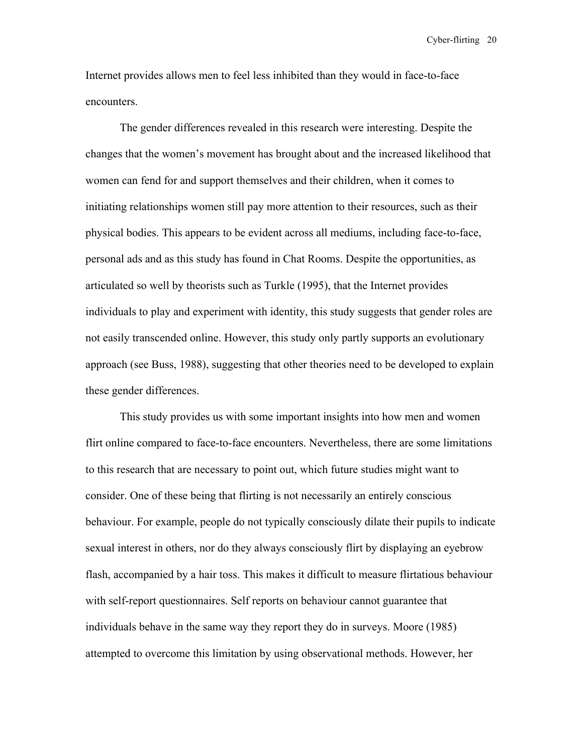Internet provides allows men to feel less inhibited than they would in face-to-face encounters.

The gender differences revealed in this research were interesting. Despite the changes that the women's movement has brought about and the increased likelihood that women can fend for and support themselves and their children, when it comes to initiating relationships women still pay more attention to their resources, such as their physical bodies. This appears to be evident across all mediums, including face-to-face, personal ads and as this study has found in Chat Rooms. Despite the opportunities, as articulated so well by theorists such as Turkle (1995), that the Internet provides individuals to play and experiment with identity, this study suggests that gender roles are not easily transcended online. However, this study only partly supports an evolutionary approach (see Buss, 1988), suggesting that other theories need to be developed to explain these gender differences.

This study provides us with some important insights into how men and women flirt online compared to face-to-face encounters. Nevertheless, there are some limitations to this research that are necessary to point out, which future studies might want to consider. One of these being that flirting is not necessarily an entirely conscious behaviour. For example, people do not typically consciously dilate their pupils to indicate sexual interest in others, nor do they always consciously flirt by displaying an eyebrow flash, accompanied by a hair toss. This makes it difficult to measure flirtatious behaviour with self-report questionnaires. Self reports on behaviour cannot guarantee that individuals behave in the same way they report they do in surveys. Moore (1985) attempted to overcome this limitation by using observational methods. However, her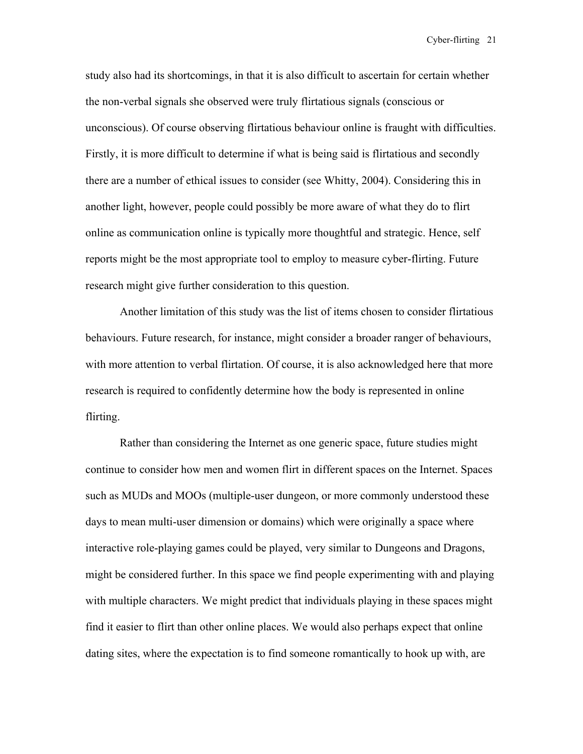study also had its shortcomings, in that it is also difficult to ascertain for certain whether the non-verbal signals she observed were truly flirtatious signals (conscious or unconscious). Of course observing flirtatious behaviour online is fraught with difficulties. Firstly, it is more difficult to determine if what is being said is flirtatious and secondly there are a number of ethical issues to consider (see Whitty, 2004). Considering this in another light, however, people could possibly be more aware of what they do to flirt online as communication online is typically more thoughtful and strategic. Hence, self reports might be the most appropriate tool to employ to measure cyber-flirting. Future research might give further consideration to this question.

Another limitation of this study was the list of items chosen to consider flirtatious behaviours. Future research, for instance, might consider a broader ranger of behaviours, with more attention to verbal flirtation. Of course, it is also acknowledged here that more research is required to confidently determine how the body is represented in online flirting.

Rather than considering the Internet as one generic space, future studies might continue to consider how men and women flirt in different spaces on the Internet. Spaces such as MUDs and MOOs (multiple-user dungeon, or more commonly understood these days to mean multi-user dimension or domains) which were originally a space where interactive role-playing games could be played, very similar to Dungeons and Dragons, might be considered further. In this space we find people experimenting with and playing with multiple characters. We might predict that individuals playing in these spaces might find it easier to flirt than other online places. We would also perhaps expect that online dating sites, where the expectation is to find someone romantically to hook up with, are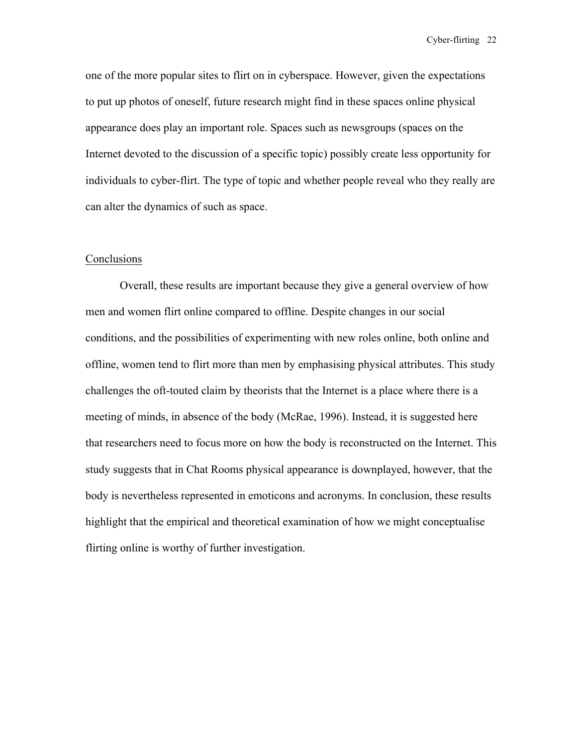one of the more popular sites to flirt on in cyberspace. However, given the expectations to put up photos of oneself, future research might find in these spaces online physical appearance does play an important role. Spaces such as newsgroups (spaces on the Internet devoted to the discussion of a specific topic) possibly create less opportunity for individuals to cyber-flirt. The type of topic and whether people reveal who they really are can alter the dynamics of such as space.

## **Conclusions**

Overall, these results are important because they give a general overview of how men and women flirt online compared to offline. Despite changes in our social conditions, and the possibilities of experimenting with new roles online, both online and offline, women tend to flirt more than men by emphasising physical attributes. This study challenges the oft-touted claim by theorists that the Internet is a place where there is a meeting of minds, in absence of the body (McRae, 1996). Instead, it is suggested here that researchers need to focus more on how the body is reconstructed on the Internet. This study suggests that in Chat Rooms physical appearance is downplayed, however, that the body is nevertheless represented in emoticons and acronyms. In conclusion, these results highlight that the empirical and theoretical examination of how we might conceptualise flirting online is worthy of further investigation.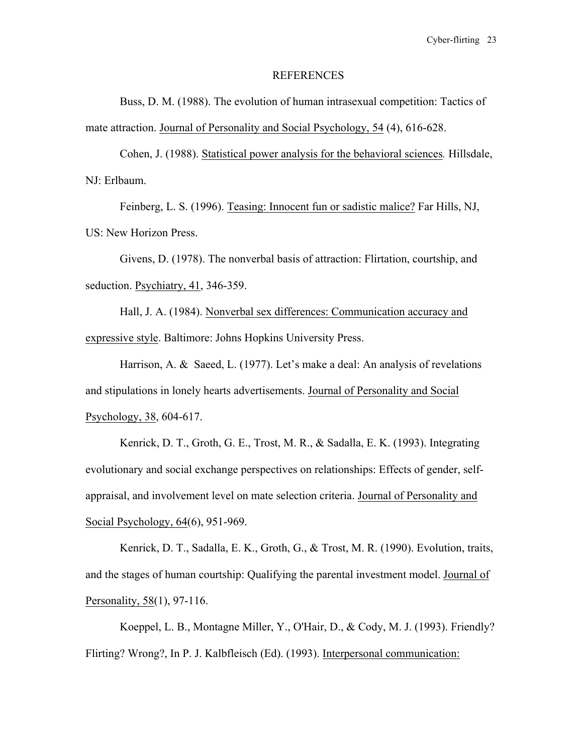#### REFERENCES

Buss, D. M. (1988). The evolution of human intrasexual competition: Tactics of mate attraction. Journal of Personality and Social Psychology, 54 (4), 616-628.

Cohen, J. (1988). Statistical power analysis for the behavioral sciences*.* Hillsdale, NJ: Erlbaum.

Feinberg, L. S. (1996). Teasing: Innocent fun or sadistic malice? Far Hills, NJ, US: New Horizon Press.

Givens, D. (1978). The nonverbal basis of attraction: Flirtation, courtship, and seduction. Psychiatry, 41, 346-359.

Hall, J. A. (1984). Nonverbal sex differences: Communication accuracy and expressive style. Baltimore: Johns Hopkins University Press.

Harrison, A. & Saeed, L. (1977). Let's make a deal: An analysis of revelations and stipulations in lonely hearts advertisements. Journal of Personality and Social Psychology, 38, 604-617.

Kenrick, D. T., Groth, G. E., Trost, M. R., & Sadalla, E. K. (1993). Integrating evolutionary and social exchange perspectives on relationships: Effects of gender, selfappraisal, and involvement level on mate selection criteria. Journal of Personality and Social Psychology, 64(6), 951-969.

Kenrick, D. T., Sadalla, E. K., Groth, G., & Trost, M. R. (1990). Evolution, traits, and the stages of human courtship: Qualifying the parental investment model. Journal of Personality, 58(1), 97-116.

Koeppel, L. B., Montagne Miller, Y., O'Hair, D., & Cody, M. J. (1993). Friendly? Flirting? Wrong?, In P. J. Kalbfleisch (Ed). (1993). Interpersonal communication: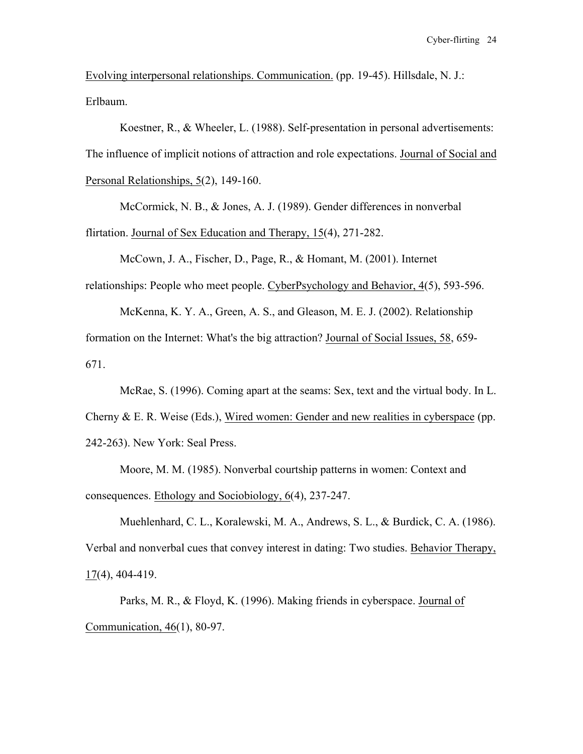Evolving interpersonal relationships. Communication. (pp. 19-45). Hillsdale, N. J.: Erlbaum.

Koestner, R., & Wheeler, L. (1988). Self-presentation in personal advertisements: The influence of implicit notions of attraction and role expectations. Journal of Social and Personal Relationships, 5(2), 149-160.

McCormick, N. B., & Jones, A. J. (1989). Gender differences in nonverbal flirtation. Journal of Sex Education and Therapy, 15(4), 271-282.

McCown, J. A., Fischer, D., Page, R., & Homant, M. (2001). Internet relationships: People who meet people. CyberPsychology and Behavior, 4(5), 593-596.

McKenna, K. Y. A., Green, A. S., and Gleason, M. E. J. (2002). Relationship formation on the Internet: What's the big attraction? Journal of Social Issues, 58, 659- 671.

McRae, S. (1996). Coming apart at the seams: Sex, text and the virtual body. In L. Cherny  $\&$  E. R. Weise (Eds.), Wired women: Gender and new realities in cyberspace (pp. 242-263). New York: Seal Press.

Moore, M. M. (1985). Nonverbal courtship patterns in women: Context and consequences. Ethology and Sociobiology, 6(4), 237-247.

Muehlenhard, C. L., Koralewski, M. A., Andrews, S. L., & Burdick, C. A. (1986). Verbal and nonverbal cues that convey interest in dating: Two studies. Behavior Therapy, 17(4), 404-419.

Parks, M. R., & Floyd, K. (1996). Making friends in cyberspace. Journal of Communication, 46(1), 80-97.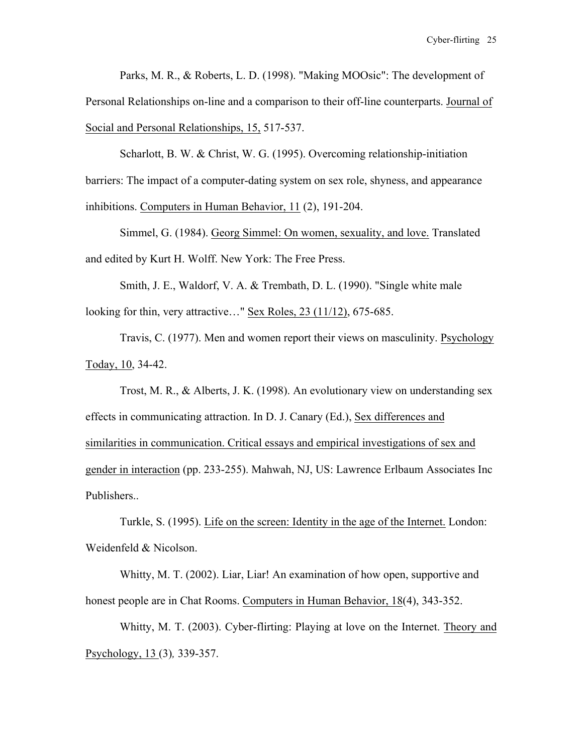Parks, M. R., & Roberts, L. D. (1998). "Making MOOsic": The development of Personal Relationships on-line and a comparison to their off-line counterparts. Journal of Social and Personal Relationships, 15, 517-537.

Scharlott, B. W. & Christ, W. G. (1995). Overcoming relationship-initiation barriers: The impact of a computer-dating system on sex role, shyness, and appearance inhibitions. Computers in Human Behavior, 11 (2), 191-204.

Simmel, G. (1984). Georg Simmel: On women, sexuality, and love. Translated and edited by Kurt H. Wolff. New York: The Free Press.

Smith, J. E., Waldorf, V. A. & Trembath, D. L. (1990). "Single white male looking for thin, very attractive…" Sex Roles, 23 (11/12), 675-685.

Travis, C. (1977). Men and women report their views on masculinity. Psychology Today, 10, 34-42.

Trost, M. R., & Alberts, J. K. (1998). An evolutionary view on understanding sex effects in communicating attraction. In D. J. Canary (Ed.), Sex differences and similarities in communication. Critical essays and empirical investigations of sex and gender in interaction (pp. 233-255). Mahwah, NJ, US: Lawrence Erlbaum Associates Inc Publishers..

Turkle, S. (1995). Life on the screen: Identity in the age of the Internet. London: Weidenfeld & Nicolson.

Whitty, M. T. (2002). Liar, Liar! An examination of how open, supportive and honest people are in Chat Rooms. Computers in Human Behavior, 18(4), 343-352.

Whitty, M. T. (2003). Cyber-flirting: Playing at love on the Internet. Theory and Psychology, 13 (3)*,* 339-357.